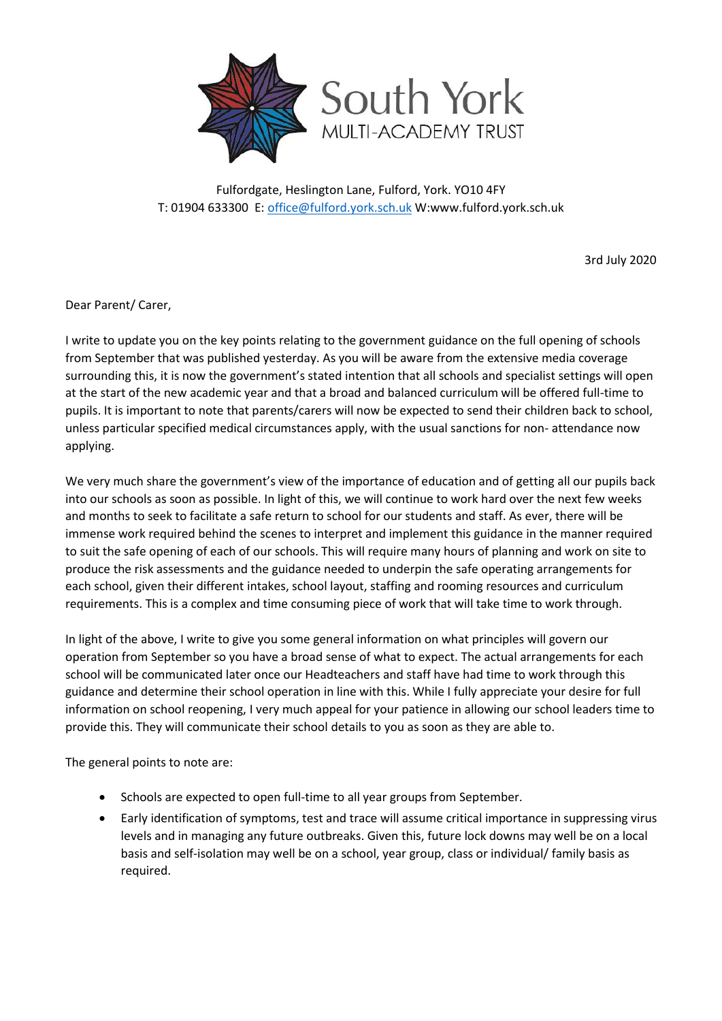

Fulfordgate, Heslington Lane, Fulford, York. YO10 4FY T: 01904 633300 E[: office@fulford.york.sch.uk](mailto:office@fulford.york.sch.uk) W:www.fulford.york.sch.uk

3rd July 2020

Dear Parent/ Carer,

I write to update you on the key points relating to the government guidance on the full opening of schools from September that was published yesterday. As you will be aware from the extensive media coverage surrounding this, it is now the government's stated intention that all schools and specialist settings will open at the start of the new academic year and that a broad and balanced curriculum will be offered full-time to pupils. It is important to note that parents/carers will now be expected to send their children back to school, unless particular specified medical circumstances apply, with the usual sanctions for non- attendance now applying.

We very much share the government's view of the importance of education and of getting all our pupils back into our schools as soon as possible. In light of this, we will continue to work hard over the next few weeks and months to seek to facilitate a safe return to school for our students and staff. As ever, there will be immense work required behind the scenes to interpret and implement this guidance in the manner required to suit the safe opening of each of our schools. This will require many hours of planning and work on site to produce the risk assessments and the guidance needed to underpin the safe operating arrangements for each school, given their different intakes, school layout, staffing and rooming resources and curriculum requirements. This is a complex and time consuming piece of work that will take time to work through.

In light of the above, I write to give you some general information on what principles will govern our operation from September so you have a broad sense of what to expect. The actual arrangements for each school will be communicated later once our Headteachers and staff have had time to work through this guidance and determine their school operation in line with this. While I fully appreciate your desire for full information on school reopening, I very much appeal for your patience in allowing our school leaders time to provide this. They will communicate their school details to you as soon as they are able to.

The general points to note are:

- Schools are expected to open full-time to all year groups from September.
- Early identification of symptoms, test and trace will assume critical importance in suppressing virus levels and in managing any future outbreaks. Given this, future lock downs may well be on a local basis and self-isolation may well be on a school, year group, class or individual/ family basis as required.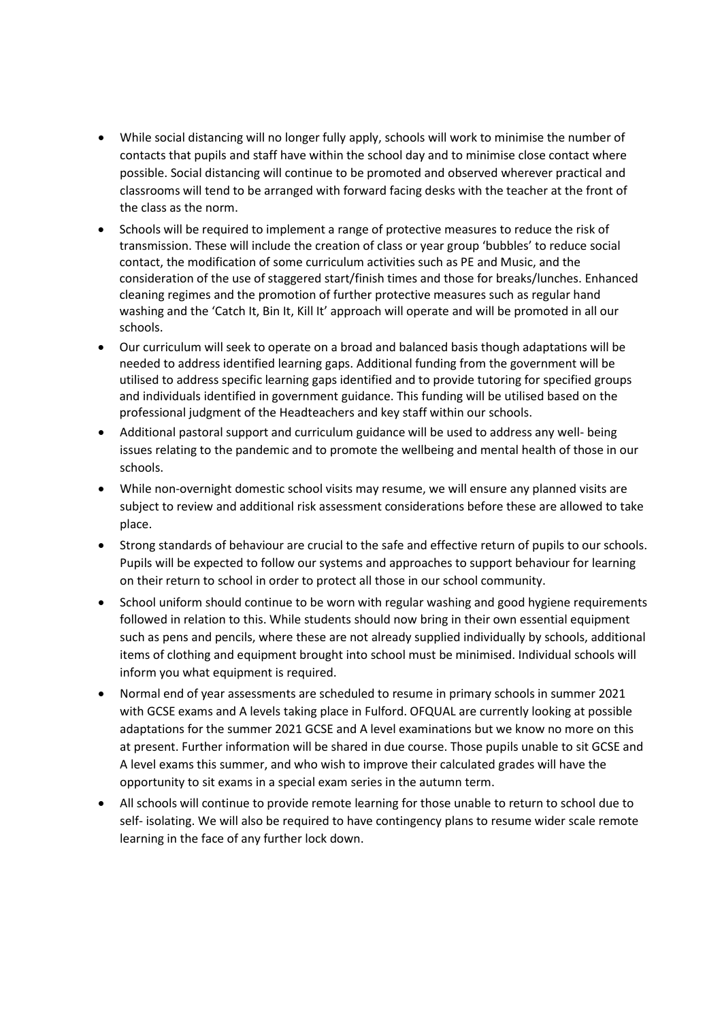- While social distancing will no longer fully apply, schools will work to minimise the number of contacts that pupils and staff have within the school day and to minimise close contact where possible. Social distancing will continue to be promoted and observed wherever practical and classrooms will tend to be arranged with forward facing desks with the teacher at the front of the class as the norm.
- Schools will be required to implement a range of protective measures to reduce the risk of transmission. These will include the creation of class or year group 'bubbles' to reduce social contact, the modification of some curriculum activities such as PE and Music, and the consideration of the use of staggered start/finish times and those for breaks/lunches. Enhanced cleaning regimes and the promotion of further protective measures such as regular hand washing and the 'Catch It, Bin It, Kill It' approach will operate and will be promoted in all our schools.
- Our curriculum will seek to operate on a broad and balanced basis though adaptations will be needed to address identified learning gaps. Additional funding from the government will be utilised to address specific learning gaps identified and to provide tutoring for specified groups and individuals identified in government guidance. This funding will be utilised based on the professional judgment of the Headteachers and key staff within our schools.
- Additional pastoral support and curriculum guidance will be used to address any well- being issues relating to the pandemic and to promote the wellbeing and mental health of those in our schools.
- While non-overnight domestic school visits may resume, we will ensure any planned visits are subject to review and additional risk assessment considerations before these are allowed to take place.
- Strong standards of behaviour are crucial to the safe and effective return of pupils to our schools. Pupils will be expected to follow our systems and approaches to support behaviour for learning on their return to school in order to protect all those in our school community.
- School uniform should continue to be worn with regular washing and good hygiene requirements followed in relation to this. While students should now bring in their own essential equipment such as pens and pencils, where these are not already supplied individually by schools, additional items of clothing and equipment brought into school must be minimised. Individual schools will inform you what equipment is required.
- Normal end of year assessments are scheduled to resume in primary schools in summer 2021 with GCSE exams and A levels taking place in Fulford. OFQUAL are currently looking at possible adaptations for the summer 2021 GCSE and A level examinations but we know no more on this at present. Further information will be shared in due course. Those pupils unable to sit GCSE and A level exams this summer, and who wish to improve their calculated grades will have the opportunity to sit exams in a special exam series in the autumn term.
- All schools will continue to provide remote learning for those unable to return to school due to self- isolating. We will also be required to have contingency plans to resume wider scale remote learning in the face of any further lock down.